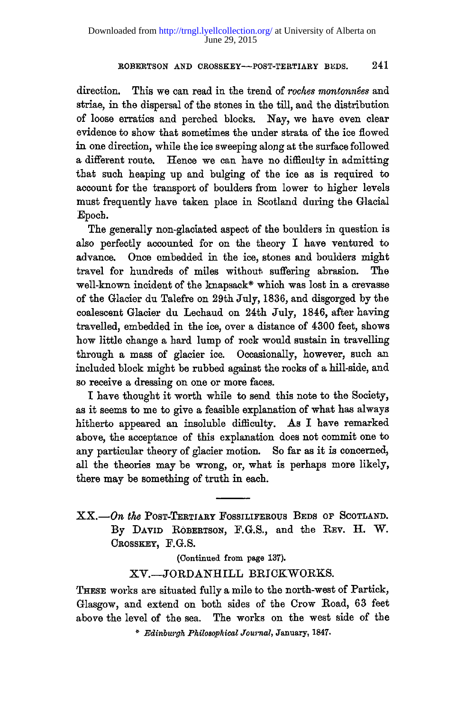direction. This we can read in the trend of *roches montonne'es* and striae, in the dispersal of the stones in the till, and the distribution of loose erratics and perched blocks. Nay, we have even clear evidence to show that sometimes the under strata of the ice flowed in one direction, while the ice sweeping along at the surface followed a different route. Hence we can have no difficulty in admitting that such heaping up and bulging of the ice as is required to account for the transport of boulders from lower to higher levels must frequently have taken place in Scotland during the Glacial Epoch.

The generally non-glaciated aspect of the boulders in question is also perfectly accounted for on the theory I have ventured to advance. Once embedded in the ice, stones and boulders might travel for hundreds of miles without suffering abrasion. The well-known incident of the knapsack\* which was lost in a crevasse of the Glacier du Talefre on 29th July, 1836, and disgorged by the coalescent Glacier du Lechaud on 24th July, 1846, after having travelled, embedded in the ice, over a distance of 4300 feet, shows how little change a hard lump of rock would sustain in travelling through a mass of glacier ice. Occasionally, however, such an included block might be rubbed against the rocks of a hill-side, and so receive a dressing on one or more faces.

I have thought it worth while to send this note to the Society, as it seems to me to give a feasible explanation of what has always hitherto appeared an insoluble difficulty. As I have remarked above, the acceptance of this explanation does not commit one to any particular theory of glacier motion. So far as it is concerned, all the theories may be wrong, or, what is perhaps more likely, there may be something of truth in each.

XX.— On the POST-TERTIARY FOSSILIFEROUS BEDS OF SCOTLAND. By DAVID ROBERTSON, F.G.S., and the REV. H. W. CROSSKEY, F.G.S.

**(Continued from page 137).** 

XV.-JORDANHILL BRICKWORKS.

THESE works are situated fully a mile to the north-west of Partick, Glasgow, and extend on both sides of the Crow Road, 63 feet above the level of the sea. The works on the west side of the

*\* Edinburgh Philosophical Journal,* **January, 1847.**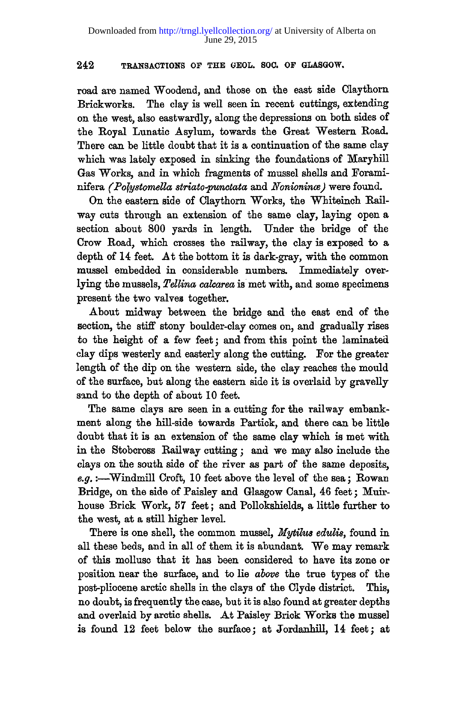**road are named Woodend, and those on the east side Claythorn Brickworks. The clay is well seen in recent cuttings, extending on the west, also eastwardly, along the depressions on both sides of the Royal Lunatic Asylum, towards the Great "Western Road. There can be little doubt that it is a continuation of the same clay which was lately exposed in sinking the foundations of Maryhill Gas Works, and in which fragments of mussel shells and Foraminifera** *(Pofystomella striato-punctata* **and** *Nonionince)* **were found.** 

**On the eastern side of Claythorn Works, the Whiteinch Bailway cuts through an extension of the same clay, laying open a section about 800 yards in length. Under the bridge of the Crow Road, which crosses the railway, the clay is exposed to a depth of 14 feet. At the bottom it is dark-gray, with the common mussel embedded in considerable numbers. Immediately overlying the mussels,** *Tellina calcarea* **is met with, and some specimens present the two valves together.** 

**About midway between the bridge and the east end of the section, the stiff stony boulder-clay comes on, and gradually rises to the height of a few feet; and from this point the laminated clay dips westerly and easterly along the cutting. For the greater length of the dip on the western side, the clay reaches the mould of the surface, but along the eastern side it is overlaid by gravelly sand to the depth of about 10 feet.** 

**The same clays are seen in a cutting for the railway embankment along the hill-side towards Partick, and there can be little doubt that it is an extension of the same clay which is met with in the Stobcross Railway cutting; and we may also include the clays on the south side of the river as part of the same deposits,**  *e.g.***:—Windmill Croft, 10 feet above the level of the sea; Rowan Bridge, on the side of Paisley and Glasgow Canal, 46 feet; Muirhouse Brick Work, 57 feet; and Pollokshields, a little further to the west, at a still higher level.** 

There is one shell, the common mussel, *Mytilus edulis*, found in **all these beds, and in all of them it is abundant. We may remark of this mollusc that it has been considered to have its zone or position near the surface, and to lie** *above* **the true types of the post-pliocene arctic shells in the clays of the Clyde district. This, no doubt, is frequently the case, but it is also found at greater depths and overlaid by arctic shells. At Paisley Brick Works the mussel**  is found 12 feet below the surface; at Jordanhill, 14 feet; at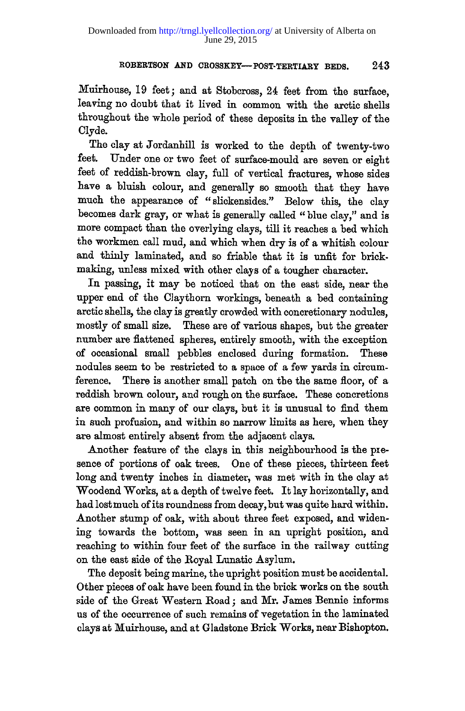Muirhouse, 19 feet; and at Stobcross, 24 feet from the surface, leaving no doubt that it lived in common with the arctic shells throughout the whole period of these deposits in the valley of the Clyde.

The clay at Jordanhill is worked to the depth of twenty-two feet. Under one or two feet of surface-mould are seven or eight feet of reddish-brown clay, full of vertical fractures, whose sides have a bluish colour, and generally so smooth that they have much the appearance of "slickensides." Below this, the clay becomes dark gray, or what is generally called " blue clay," and is more compact than the overlying clays, till it reaches a bed which the workmen call mud, and which when dry is of a whitish colour and thinly laminated, and so friable that it is unfit for brickmaking, unless mixed with other clays of a tougher character.

In passing, it may be noticed that on the east side, near the upper end of the Claythorn workings, beneath a bed containing arctic shells, the clay is greatly crowded with concretionary nodules, mostly of small size. These are of various shapes, but the greater number are flattened spheres, entirely smooth, with the exception of occasional small pebbles enclosed during formation. These nodules seem to be restricted to a space of a few yards in circumference. There is another small patch on the the same floor, of a reddish brown colour, and rough on the surface. These concretions are common in many of our clays, but it is unusual to find them in such profusion, and within so narrow limits as here, when they are almost entirely absent from the adjacent clays.

Another feature of the clays in this neighbourhood is the presence of portions of oak trees. One of these pieces, thirteen feet long and twenty inches in diameter, was met with in the clay at Woodend Works, at a depth of twelve feet. It lay horizontally, and had lost much of its roundness from decay, but was quite hard within. Another stump of oak, with about three feet exposed, and widening towards the bottom, was seen in an upright position, and reaching to within four feet of the surface in the railway cutting on the east side of the Royal Lunatic Asylum.

The deposit being marine, the upright position must be accidental. Other pieces of oak have been found in the brick works on the south side of the Great Western Road; and Mr. James Bennie informs us of the occurrence of such remains of vegetation in the laminated clays at Muirhouse, and at Gladstone Brick Works, near Bishopton.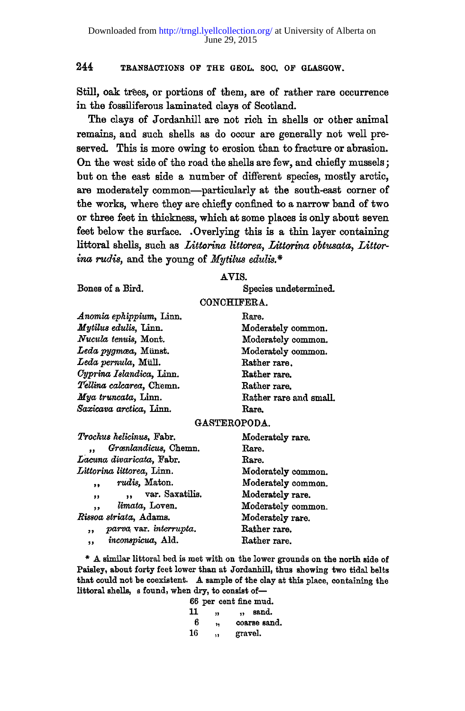**Still, oak trees, or portions of them, are of rather rare occurrence in the fossiliferous laminated clays of Scotland.** 

**The clays of Jordanhill are not rich in shells or other animal remains, and such shells as do occur are generally not well preserved. This is more owing to erosion than to fracture or abrasion. On the west side of the road the shells are few, and chiefly mussels; but on the east side a number of different species, mostly arctic, are moderately common—particularly at the south-east corner of the works, where they are chiefly confined to a narrow band of two or three feet in thickness, which at some places is only about seven feet below the surface. .Overlying this is a thin layer containing littoral shells, such as** *Littorina littorea, Littorina obtusata, Littorina rudis,* **and the young of** *Mytilus edulis.\** 

#### **AVIS.**

**Bones of a Bird.** 

**Species undetermined.** 

# **CONCHIFERA.**

*Anomia ephippium,* **Linn.**  *Mytilus edulis,* **linn .**  *Nucula tenuis,* **Mont.**  *Ledapygmcea,* **Miinst.**  *Ledapernula,* **Mull.**  *Cyprina Islandica,* **Linn.**   $Tellina$  *calcarea*. Chemn. *Mya truncata,* **Linn.**   $Saxicava$  *arctica*, Linn.

**Bare. Moderately common. Moderately common. Moderately common. Bather rare. Rather rare. Bather rare. Bather rare and small. Bare.** 

# **GASTEROPODA.**

| Trochus helicinus, Fabr.                          | Moderately rare.   |  |  |  |  |
|---------------------------------------------------|--------------------|--|--|--|--|
| Grænlandicus, Chemn.                              | Rare.<br>Rare.     |  |  |  |  |
| Lacuna divaricata, Fabr.                          |                    |  |  |  |  |
| Littorina littorea, Linn.                         | Moderately common. |  |  |  |  |
| rudis, Maton.<br>,                                | Moderately common. |  |  |  |  |
| var. Saxatilis.<br>$\ddot{\phantom{a}}$<br>$, \,$ | Moderately rare.   |  |  |  |  |
| limata, Loven.<br>,,                              | Moderately common. |  |  |  |  |
| Rissoa striata, Adams.                            | Moderately rare.   |  |  |  |  |
| parva var. interrupta.<br>,,                      | Rather rare.       |  |  |  |  |
| inconspicua, Ald.<br>,,                           | Rather rare.       |  |  |  |  |

**\* A similar littoral bed is met with on the lower grounds on the north side of Paisley, about forty feet lower than at Jordanhill, thus showing two tidal belts that could not be coexistent. A sample of the clay at this place, containing the littoral shells, s found, when dry, to consist of—** 

|    | 66 per cent fine mud. |                      |              |
|----|-----------------------|----------------------|--------------|
| 11 | ,,                    | $\ddot{\phantom{a}}$ | sand.        |
| ĥ  | 'n                    |                      | coarse sand. |
| 16 | $\ddot{\mathbf{r}}$   | gravel.              |              |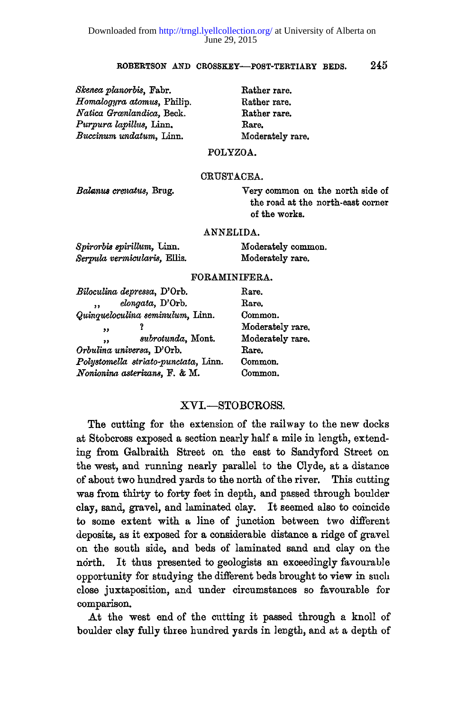*SJcenea planorbis,* **Fabr.**  *Homalogyra atomus,* **Philip.**   $Natica$  *Grœnlandica*, Beck. *Purpura lapillus,* **linn ,**  *Buccinum undatum,* **Linn.** 

**Rather rare. Rather rare. Rather rare. Rare. Moderately rare.** 

# **POLYZOA.**

#### **CRUSTACEA.**

*Balanns crenatus,* **Brug,** 

**Very common on the north side of the road at the north-east corner of the works.** 

#### **ANNELIDA.**

| Spirorbis spirillum, Linn.   | Moderately common. |
|------------------------------|--------------------|
| Serpula vermicularis, Ellis. | Moderately rare.   |

#### **FORAMINIFERA.**

| Biloculina depressa, D'Orb.          | Rare.            |
|--------------------------------------|------------------|
| elongata, D'Orb.<br>,,               | Rare.            |
| Quinqueloculina seminulum, Linn.     | Common.          |
| ,,                                   | Moderately rare. |
| subrotunda, Mont.<br>99              | Moderately rare. |
| Orbulina universa, D'Orb.            | Rare.            |
| Polystomella striato-punctata, Linn. | Common.          |
| Nonionina asterizans, F. & M.        | Common.          |

# XVI.—STOBCROSS .

The cutting for the extension of the railway to the new docks at Stobcross exposed a section nearly half a mile in length, extending from Galbraith Street on the east to Sandyford Street on the west, and running nearly parallel to the Clyde, at a distance of about two hundred yards to the north of the river. This cutting was from thirty to forty feet in depth, and passed through boulder clay, sand, gravel, and laminated clay. It seemed also to coincide to some extent with a line of junction between two different deposits, as it exposed for a considerable distance a ridge of gravel on the south side, and beds of laminated sand and clay on the north. It thus presented to geologists an exceedingly favourable opportunity for studying the different beds brought to view in such close juxtaposition, and under circumstances so favourable for comparison.

At the west end of the cutting it passed through a knoll of boulder clay fully three hundred yards in length, and at a depth of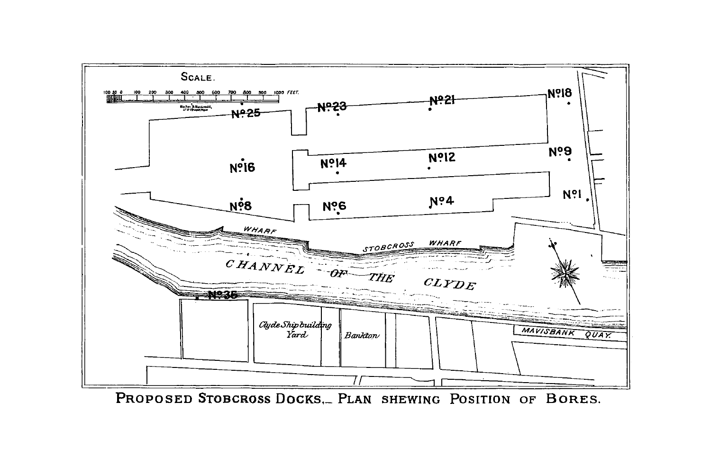

PROPOSED STOBCROSS DOCKS, PLAN SHEWING POSITION OF BORES.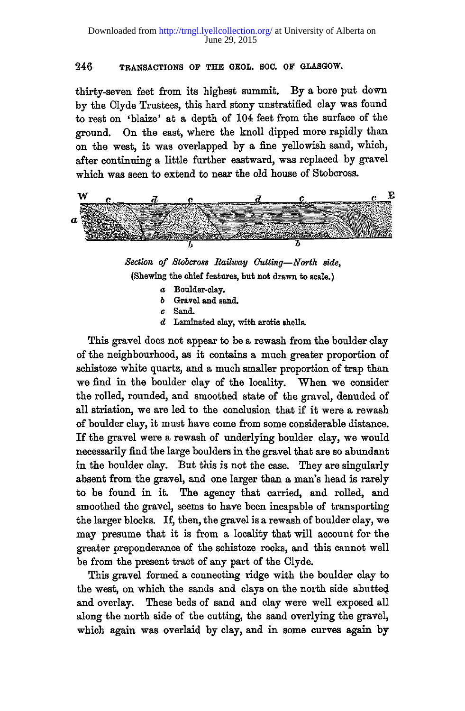thirty-seven feet from its highest summit. By a bore put down by the Clyde Trustees, this hard stony unstratified clay was found to rest on 'blaize' at a depth of 104 feet from the surface of the ground. On the east, where the knoll dipped more rapidly than on the west, it was overlapped by a fine yellowish sand, which, after continuing a little further eastward, was replaced by gravel which was seen to extend to near the old house of Stobcross.



*Section of Stobcross Railway Gutting—North side,*  **(Shewing the chief features, but not drawn to scale.)** 

- *a* **Boulder-clay.**
- *b* **Gravel and sand.**
- *c* **Sand.**
- *d* **Laminated clay, with arctic shells.**

This gravel does not appear to be a rewash from the boulder clay of the neighbourhood, as it contains a much greater proportion of schistoze white quartz, and a much smaller proportion of trap than we find in the boulder clay of the locality. When we consider the rolled, rounded, and smoothed state of the gravel, denuded of all striation, we are led to the conclusion that if it were a rewash of boulder clay, it must have come from some considerable distance. If the gravel were a rewash of underlying boulder clay, we would necessarily find the large boulders in the gravel that are so abundant in the boulder clay. But this is not the case. They are singularly absent from the gravel, and one larger than a man's head is rarely to be found in it. The agency that carried, and rolled, and smoothed the gravel, seems to have been incapable of transporting the larger blocks. If, then, the gravel is a rewash of boulder clay, we may presume that it is from a locality that will account for the greater preponderance of the schistoze rocks, and this cannot well be from the present tract of any part of the Clyde.

This gravel formed a connecting ridge with the boulder clay to the west, on which the sands and clays on the north side abutted and overlay. These beds of sand and clay were well exposed all along the north side of the cutting, the sand overlying the gravel, which again was overlaid by clay, and in some curves again by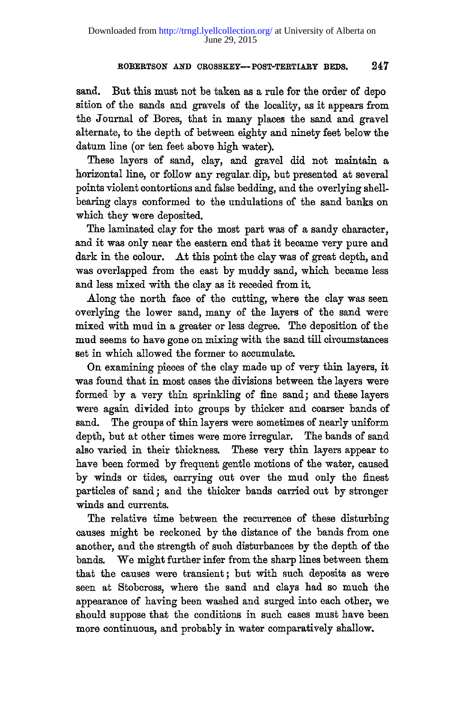sand. But this must not be taken as a rule for the order of depo sition of the sands and gravels of the locality, as it appears from the Journal of Bores, that in many places the sand and gravel alternate, to the depth of between eighty and ninety feet below the datum line (or ten feet above high water).

These layers of sand, clay, and gravel did not maintain a horizontal line, or follow any regular dip, but presented at several points violent contortions and false bedding, and the overlying shellbearing clays conformed to the undulations of the sand banks on which they were deposited.

The laminated clay for the most part was of a sandy character, and it was only near the eastern end that it became very pure and dark in the colour. At this point the clay was of great depth, and was overlapped from the east by muddy sand, which became less and less mixed with the clay as it receded from it.

Along the north face of the cutting, where the clay was seen overlying the lower sand, many of the layers of the sand were mixed with mud in a greater or less degree. The deposition of the mud seems to have gone on mixing with the sand till circumstances set in which allowed the former to accumulate.

On examining pieces of the clay made up of very thin layers, it was found that in most cases the divisions between the layers were formed by a very thin sprinkling of fine sand; and these layers were again divided into groups by thicker and coarser bands of sand. The groups of thin layers were sometimes of nearly uniform depth, but at other times were more irregular. The bands of sand also varied in their thickness. These very thin layers appear to have been formed by frequent gentle motions of the water, caused by winds or tides, carrying out over the mud only the finest particles of sand ; and the thicker bands carried out by stronger winds and currents.

The relative time between the recurrence of these disturbing causes might be reckoned by the distance of the bands from one another, and the strength of such disturbances by the depth of the bands. We might further infer from the sharp lines between them that the causes were transient; but with such deposits as were seen at Stobcross, where the sand and clays had so much the appearance of having been washed and surged into each other, we should suppose that the conditions in such cases must have been more continuous, and probably in water comparatively shallow.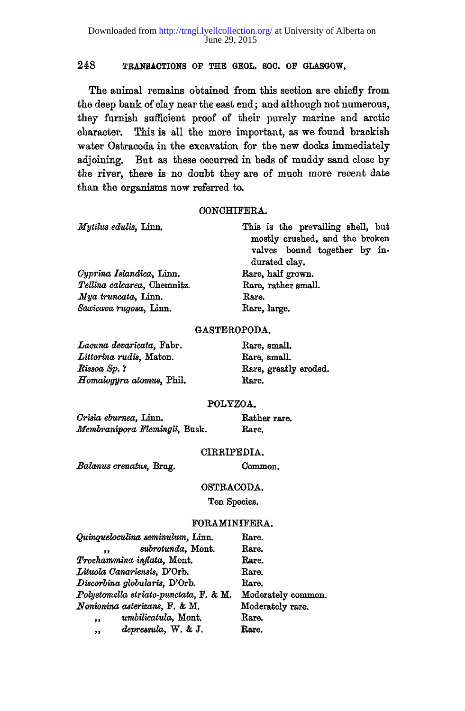The animal remains obtained from this section are chiefly from the deep bank of clay near the east end; and although not numerous, they furnish sufficient proof of their purely marine and arctic character. This is all the more important, as we found brackish water Ostracoda in the excavation for the new docks immediately adjoining. But as these occurred in beds of muddy sand close by the river, there is no doubt they are of much more recent date than the organisms now referred to.

#### **CONCHIFERA.**

| Mytilus edulis, Linn.       | This is the prevailing shell, but |
|-----------------------------|-----------------------------------|
|                             | mostly crushed, and the broken    |
|                             | valves bound together by in-      |
|                             | durated clay.                     |
| Cyprina Islandica, Linn.    | Rare, half grown.                 |
| Tellina calcarea. Chemnitz. | Rare, rather small.               |
| Mya truncata, Linn.         | Rare.                             |
| Saxicava rugosa, Linn.      | Rare, large.                      |
|                             |                                   |

### **GASTEROPODA.**

*Lacuna devaricata,* **Fabr. Rare, small.**  *Littorina rudis,* **Maton. Rare, smalL**  *Rissoa Sp.* ? Rare, greatly eroded. *Homalogyra atomus,* **Phil. Rare.** 

22 S.A

## **POLYZOA.**

*Crisia eburnea,* **linn . Rather rare.**  *Mernbranipora Memingii,* **Busk. Rare.** 

#### **CIRRIPEDIA.**

*Balamts crenatus,* **Brug.** 

**Common.** 

## **OSTRACODA.**

**Ten Species.** 

# **FORAMINIFERA.**

| Quinqueloculina seminulum, Linn.       | Rare.              |
|----------------------------------------|--------------------|
| subrotunda, Mont.<br>$\bullet$         | Rare.              |
| Trochammina inflata, Mont.             | Rare.              |
| Lituola Canariensis, D'Orb.            | Rare.              |
| Discorbina globularis, D'Orb.          | Rare.              |
| Polystomella striato-punctata, F. & M. | Moderately common. |
| Nonionina asterizans, F. & M.          | Moderately rare.   |
| umbilicatula, Mont.<br>,               | Rare.              |
| depressula, W. & J.<br>,,              | Rare.              |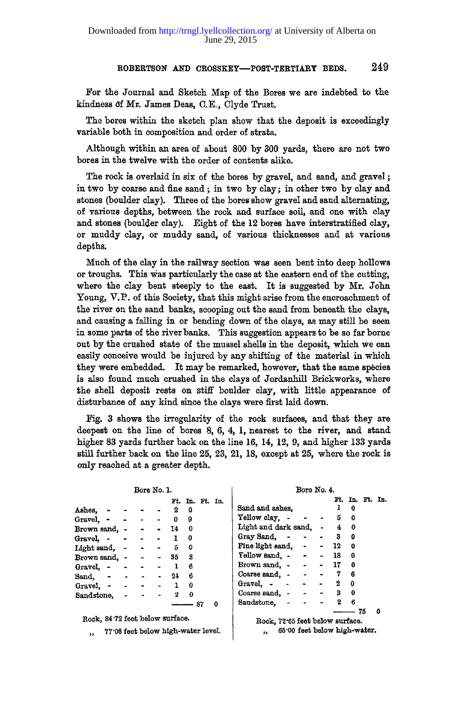**For the Journal and Sketch Map of the Bores we are indebted to the**  kindness of Mr. James Deas, C.E., Clyde Trust.

**The bores within the sketch plan show that the deposit is exceedingly variable both in composition and order of strata.** 

**Although within an area of about 800 by 300 yards, there are not two bores in the twelve with the order of contents alike.** 

**The rock is overlaid in six of the bores by gravel, and sand, and gravel; in two by coarse and fine sand ; in two by clay; in other two by clay and stones (boulder clay). Three of the bores show gravel and sand alternating, of various depths, between the rock and surface soil, and one with clay and stones (boulder clay). Eight of the 12 bores have interstratified clay, or muddy clay, or muddy sand, of various thicknesses and at various depths.** 

**Much of the clay in the railway section was seen bent into deep hollows or troughs. This was particularly the case at the eastern end of the cutting, where the clay bent steeply to the east. It is suggested by Mr. John Young, V.P . of this Society, that this might arise from the encroachment of the river on the sand banks, scooping out the sand from beneath the clays, and causing a falling in or bending down of the clays, as may still be seen in some parts of the river banks. This suggestion appears to be so far borne out by the crushed stats of the mussel shells in the deposit, which we can easily conceive would be injured by any shifting of the material in which they were embedded. It may be remarked, however, that the same species is also found much crushed in the clays of Jordanhill Brickworks, where the shell deposit rests on stiff boulder clay, with little appearance of disturbance of any kind since the clays were first laid down.** 

**Fig. 3 shows the irregularity of the rock surfaces, and that they are deepest on the line of bores 8, 6, 4, 1, nearest to the river, and stand higher 83 yards further back on the line 16, 14, 12, 9, and higher 133 yards still further back on the line 25, 23, 21, 18, except at 25, where the rock is only reached at a greater depth.** 

|                                               | Bore No. 1.                        |       |             |              |    |                 | Bore No. 4.                               |                |                 |   |
|-----------------------------------------------|------------------------------------|-------|-------------|--------------|----|-----------------|-------------------------------------------|----------------|-----------------|---|
|                                               |                                    |       |             |              |    | Ft. In. Ft. In. |                                           |                | Ft. In. Ft. In. |   |
| Ashes, - -                                    |                                    |       | 2           | 0            |    |                 | Sand and ashes.                           |                | $1\quad 0$      |   |
| Gravel $\sim$ $\sim$ $\sim$ 0                 |                                    |       |             | 9            |    |                 | $Y$ ellow clay. $\sim$ $\sim$ $\sim$ 5 0  |                |                 |   |
| Brown sand, - -                               |                                    |       | $\sim$ 14   | $\mathbf 0$  |    |                 | Light and dark sand. - 4 0                |                |                 |   |
| Gravel. $\cdots$ $\cdots$ 1                   |                                    |       |             | 0            |    |                 | Gray Sand. $\sim$ $\sim$ 3                |                | ٥               |   |
| Light sand, $  5$ 0                           |                                    |       |             |              |    |                 | Fine light sand, - - 12                   |                | $\mathbf o$     |   |
| Brown sand, -                                 | $\sim 100$                         | $-35$ |             | 3            |    |                 | $Y$ ellow sand. $\sim$ $\sim$ 18          |                | $\Omega$        |   |
| Gravel, - - -                                 |                                    |       | $-1$        | 6            |    |                 | Brown sand, $- - 17$                      |                | 0               |   |
| Sand. $\bullet$ $\bullet$ $\bullet$ $\bullet$ |                                    |       | 24          | 6            |    |                 | Coarse sand, $\cdot$ $\cdot$ $\cdot$ 7    |                | 6               |   |
| Gravel, - -                                   | $\sim$ $\sim$ 1                    |       |             | $\mathbf{0}$ |    |                 | Gravel, $  -$                             | $2 \quad 0$    |                 |   |
| Sandstone,                                    |                                    |       | $2 \quad 0$ |              |    |                 |                                           |                | $\mathbf{0}$    |   |
|                                               |                                    |       |             |              | 87 | 0               | Sandstone. - - -                          | $\overline{2}$ | 6               |   |
|                                               |                                    |       |             |              |    |                 |                                           |                | $- 75$          | o |
| Rock, 84.72 feet below surface.               |                                    |       |             |              |    |                 | Rock, 72°65 feet below surface.           |                |                 |   |
| $\overline{\phantom{a}}$                      | 77.08 feet below high-water level. |       |             |              |    |                 | 65.00 feet below high-water.<br>$\bullet$ |                |                 |   |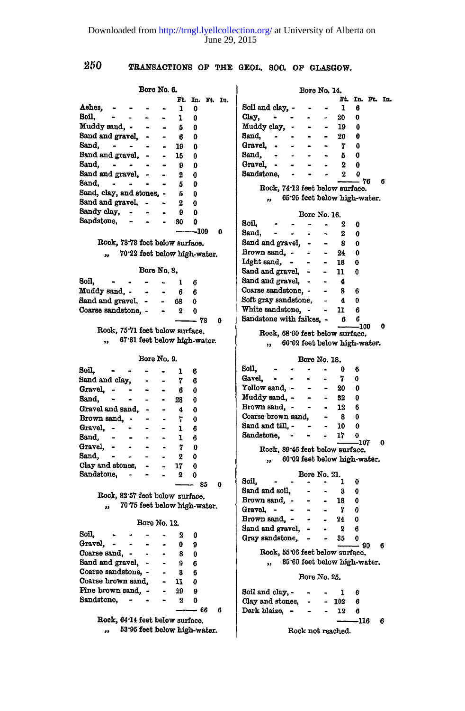| 250 |  |
|-----|--|
|     |  |

| Bore No. 6.                                                             |                         |                 |                   | Bore No. 14.                                               |  |
|-------------------------------------------------------------------------|-------------------------|-----------------|-------------------|------------------------------------------------------------|--|
|                                                                         |                         | Ft. In. Ft. In. |                   | Ft. In. Ft. In.                                            |  |
| Ashes, - - -                                                            | 1                       | 0               |                   | Soil and clay. -<br>$\mathbf{1}$<br>6<br>$\sim$            |  |
| Soil.<br>$\mathbf{a}$ .<br>$\sim$                                       | 1                       | 0               |                   | $_{\rm{Clay,}}$ - -<br>20<br>0                             |  |
| Muddy sand, - - -                                                       | 5                       | 0               |                   | Muddy clay, -<br>$\bullet$ .<br>19<br>0<br>$\bullet$ .     |  |
| Sand and gravel, -                                                      | - 6                     | 0               |                   | Sand,<br>20<br>θ                                           |  |
| Sand,                                                                   | $-19$                   | 0               |                   | Gravel, -<br>$\sim$ $ \sim$ $ \sim$<br>$\overline{7}$<br>O |  |
| Sand and gravel, - -                                                    | 15                      | 0               |                   | Sand, -<br>- 5<br>0                                        |  |
| Sand. - - -                                                             | 9                       | 0               |                   | Gravel, -<br>$\blacksquare$<br>- 2<br>$\bf{0}$             |  |
| Sand and gravel, - -                                                    | 2                       | 0               |                   | Sandstone, -<br>$\bullet$<br>$\boldsymbol{2}$<br>o         |  |
| $Sand.$ $\qquad$ $\qquad$ $\qquad$                                      | 5.                      | 0               |                   | $-76$<br>6                                                 |  |
| Sand, clay, and stones, - 5                                             |                         | 0               |                   | Rock, 74.12 feet below surface.                            |  |
| Sand and gravel, - -                                                    | 2                       | 0               |                   | ", 65.95 feet below high-water.                            |  |
| Sandy clay, -                                                           | 9.                      | 0               |                   | Bore No. 16.                                               |  |
| Sandstone, - - - 30                                                     |                         | ٥               |                   | Soil -<br>$\sim$ $\sim$ 2<br>0                             |  |
|                                                                         |                         | $-109$          | 0                 | $Sand, \t - \t -$<br>$\sim$<br>$\mathbf{2}$                |  |
|                                                                         |                         |                 |                   | 0                                                          |  |
| Rock, 78.73 feet below surface.                                         |                         |                 |                   | Sand and gravel, -<br>8<br>$\blacksquare$<br>0             |  |
| ,, 70.22 feet below high-water.                                         |                         |                 |                   | Brown sand, - -<br>$-24$<br>0                              |  |
|                                                                         |                         |                 |                   | Light sand, - -<br>- 18<br>0                               |  |
| Bore No. 8.                                                             |                         |                 |                   | Sand and gravel, -<br>- 11 -<br>0                          |  |
| 8oil.<br>$\sim$ 100 $\mu$<br>$\overline{\phantom{a}}$<br>$\blacksquare$ | $\mathbf{I}$            | 6               |                   | Sand and gravel, - -<br>$\overline{\mathbf{4}}$            |  |
| Muddy sand, - - -                                                       | $6\,$                   | 6               |                   | Coarse sandstone, - - -<br>S.<br>6                         |  |
| Sand and gravel, -<br>$\sim$                                            | 68                      | 0               |                   | Soft gray sandstone, - 4<br>0                              |  |
| Coarse sandstone, -                                                     | $-2$                    | $\mathbf{0}$    |                   | White sandstone, - - 11<br>6                               |  |
|                                                                         |                         | $- 78$          | Λ                 | Sandstone with faikes, - 6 6                               |  |
| Rock, 75.71 feet below surface.                                         |                         |                 |                   | $-100$<br>0<br>Rock, 68.90 feet below surface.             |  |
| ., 67.81 feet below high-water.                                         |                         |                 |                   |                                                            |  |
|                                                                         |                         |                 |                   | ", 60.02 feet below high-water.                            |  |
| Bore No. 9.                                                             |                         |                 |                   | Bore No. 18.                                               |  |
| <b>Scil.</b><br>$\blacksquare$                                          |                         |                 |                   | Soil, - -<br>$\sim$ $\sim$ 0<br>6                          |  |
|                                                                         | 1                       | 6               |                   | Gavel, - -<br>$\,$ 7 $\,$<br>$\sim$<br>0                   |  |
| Sand and clay, -<br>$\sim$                                              | 7                       | 6               |                   | Yellow sand, $ -$<br>- 20<br>0                             |  |
| Gravel, - -<br>$\sim$                                                   | -6                      | 0               |                   | $\sim$<br>32<br>0                                          |  |
| Sand, $\sim$ $\sim$                                                     | $-28$                   | 0               |                   | Muddy sand, - -<br>Brown sand, - -<br>12<br>6              |  |
| Gravel and sand,                                                        | $-4$                    | 0               |                   | Coarse brown sand, -<br>0<br>-8                            |  |
| $\sim$<br>Brown sand, -                                                 | 7.                      | 0               |                   | Sand and $\text{till}, -$<br>10 <sub>10</sub><br>0         |  |
| Gravel, - -<br>Sand, - -                                                | $\mathbf{1}$            | 6               |                   | Sandstone, - - - 17                                        |  |
| $\ddot{\phantom{1}}$                                                    | $\mathbf{I}$            | 6               |                   | 0<br>-107<br>0                                             |  |
| Gravel, - - -<br>$\sim$ $-$                                             | 7                       | $\bf{0}$        |                   | Rock, 89.46 feet below surface.                            |  |
| $Sand, - -$<br>$\blacksquare$<br>$\blacksquare$                         | - 2                     | 0               |                   | " 60.02 feet below high-water.                             |  |
| Clay and stones, -                                                      | 17                      | 0               |                   |                                                            |  |
| Sandstone, - -                                                          | $\overline{\mathbf{2}}$ | 0               |                   | Bore No. 21.<br>$\sim 10^{-1}$ km $^{-1}$<br>Soil.<br>0    |  |
|                                                                         |                         | $- - 85$        | 0                 | -3<br>0                                                    |  |
| Rock, 82'57 feet below surface.                                         |                         |                 |                   | Sand and soil, - - -<br>Brown sand, - - - -<br>Λ           |  |
| " 70.75 feet below high-water.                                          |                         |                 |                   | 18                                                         |  |
|                                                                         |                         |                 |                   | Gravel, $   7$<br>0                                        |  |
| <b>Bore No. 12.</b>                                                     |                         |                 |                   | Brown sand, $\sim$ - $\sim$ 24<br>0                        |  |
| Soil,<br>$\blacksquare$<br>$\sim 100$<br>$\sim$<br>٠                    | $\overline{\mathbf{2}}$ | 0               |                   | Sand and gravel, - -<br>$\frac{2}{2}$<br>6                 |  |
| Gravel, - -<br>$\sim$                                                   | $\mathbf{0}$            | 9               |                   | Gray sandstone, - -<br>35<br>- 90<br>6                     |  |
| Coarse sand, - -<br>$\bullet$                                           | 8.                      | 0               |                   | Rock, 55'06 feet below surface.                            |  |
| Sand and gravel, .                                                      | -9                      | 6               |                   | ,, 85'60 feet below high-water.                            |  |
| Coarse sandstone, -                                                     | - 8                     | 6               |                   |                                                            |  |
| Coarse brown sand,                                                      | $-11$                   | 0               |                   | Bore No. 25.                                               |  |
| Fine brown sand, -                                                      | $-29$                   | 9               |                   |                                                            |  |
| Sandstone, - - - 2                                                      |                         | 0               |                   | Soil and clay, -<br>6<br>- 1                               |  |
|                                                                         |                         |                 | 6                 | Clay and stones, $- 102$<br>6                              |  |
|                                                                         |                         | -- 66           |                   | Dark blaize, -<br>$-12$<br>$\blacksquare$<br>6             |  |
| Rock, 64.14 feet below surface.                                         |                         |                 |                   | -116<br>6                                                  |  |
| 53.95 feet below high-water.<br>,,                                      |                         |                 | Rock not reached. |                                                            |  |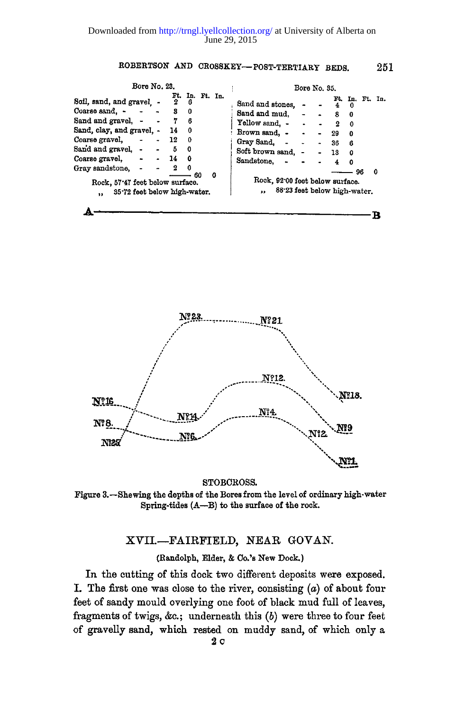| Bore No. 23.                                                                                                                                             |                               |                                                                      |   | Bore No. 35.                                                                                                                                                                                                                                                                    |
|----------------------------------------------------------------------------------------------------------------------------------------------------------|-------------------------------|----------------------------------------------------------------------|---|---------------------------------------------------------------------------------------------------------------------------------------------------------------------------------------------------------------------------------------------------------------------------------|
| Soil, sand, and gravel. .<br>Coarse sand, -<br>Sand and gravel, -<br>Sand, clay, and gravel. -<br>Coarse gravel,<br>Sand and gravel. -<br>Coarse gravel, | 2<br>3<br>14<br>12<br>5<br>14 | Ft. In. Ft. In.<br>6<br>0<br>6<br>0<br>$\mathbf{0}$<br>$\Omega$<br>٥ |   | Ft. In. Ft.<br>In.<br>Sand and stones.<br>4<br>$\Omega$<br>Sand and mud.<br>8<br>0<br>Yellow sand, -<br>$\Omega$<br>$\Omega$<br>Brown sand, -<br>29<br>$\bullet$<br>0<br>Gray Sand, -<br>36<br>$\blacksquare$<br>6<br>Soft brown sand, -<br><b>13</b><br>0<br>Sandstone. .<br>Ω |
| Gray sandstone,<br>Rock, 57'47 feet below surface.<br>35.72 feet below high-water.<br>$\bullet$                                                          | 2                             | $\Omega$<br>60                                                       | o | 0<br>96<br>Rock, 92'00 feet below surface.<br>88.23 feet below high-water.<br>,,                                                                                                                                                                                                |

B



**STOBCROSS.** 

**Figure 3.—Shewing the depths of the Bores from the level of ordinary high-water Spring-tides (A—B) to the surface of the rock.** 

# XVII.-FAIRFIELD, NEAR GOVAN.

**(Randolph, Elder, & Co.'s New Dock.)** 

In the cutting of this dock two different deposits were exposed. I. The first one was close to the river, consisting *(a)* of about four feet of sandy mould overlying one foot of black mud full of leaves, fragments of twigs, &c ; underneath this **(6 )** were three to four feet of gravelly sand, which rested on muddy sand, of which only a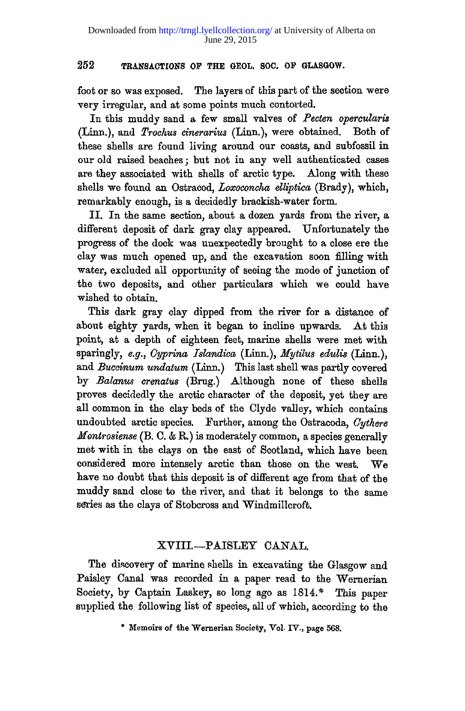foot or so was exposed. The layers of this part of the section were very irregular, and at some points much contorted.

In this muddy sand a few small valves of Pecten opercularis (Linn.), and *Trochus cinerarius* (Linn.), were obtained. Both of these shells are found living around our coasts, and subfossil in our old raised beaches; but not in any well authenticated cases are they associated with shells of arctic type. Along with these shells we found an Ostracod, *Loxoconcha elliptica* (Brady), which, remarkably enough, is a decidedly brackish-water form.

II. In the same section, about a dozen yards from the river, a different deposit of dark gray clay appeared. Unfortunately the progress of the dock was unexpectedly brought to a close ere the clay was much opened up, and the excavation soon filling with water, excluded all opportunity of seeing the mode of junction of the two deposits, and other particulars which we could have wished to obtain.

This dark gray clay dipped from the river for a distance of about eighty yards, when it began to incline upwards. At this point, at a depth of eighteen feet, marine shells were met with sparingly, *e.g., Gyprina Islandica* (Linn.), *Mytilus edulis* (Linn.), and *Buccinum undatum* (Linn.) This last shell was partly covered b y *Balanus crenatus* (Brug.) Although none of these shells proves decidedly the arctic character of the deposit, yet they are all common in the clay beds of the Clyde valley, which contains undoubted arctic species. Further, among the Ostracoda, *Oythere Montrosiense* (B. C. & R.) is moderately common, a species generally met with in the clays on the east of Scotland, which have been considered more intensely arctic than those on the west. We have no doubt that this deposit is of different age from that of the muddy sand close to the river, and that it belongs to the same series as the clays of Stobcross and Windmillcroft.

# XVIII.--PAISLEY CANAL

The discovery of marine shells in excavating the Glasgow and Paisley Canal was recorded in a paper read to the Wernerian Society, by Captain Laskey, so long ago as 1814.\* This paper supplied the following list of species, all of which, according to the

<sup>\*</sup> Memoirs of the Wernerian Society, Vol. IV., page 568.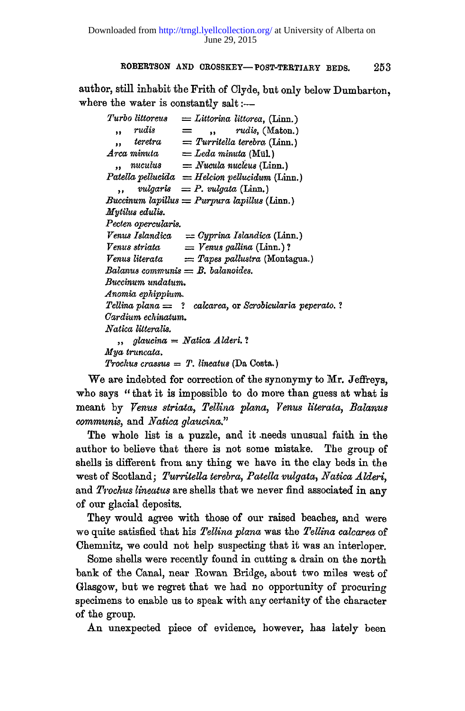author, still inhabit the Frith of Clyde, but only below Dumbarton, where the water is constantly salt: $-$ 

*Turbo littoreus = Littorina littorea,* **(Linn.)**  *,, rudis = ,, rudis,* **(Maton.)**  *teretra = Turritella terebra* **(Linn.)**   $\ddot{\phantom{a}}$ *Area minuta = Leda minuta* **(Mill.)**  *nuculus = Nucula nucleus* **(Linn.)**  *Patellapellucida = Helcion pellucidum* **(Linn.)**   $$ *Buccinum lapillus = Purpura lapillus* **(Linn.)**  *Mytilus edulis. Pecten opercularis. Venus Islandica = Oyprina Islandica* **(Linn.)**  *Venus striata = Venus gallina* **(Linn.) ?**  *Venus literata = Tapes pallustra* **(Montagua.)**  *Balanus communis = B. balanoides. Buccinum undalum. Anomia ephippium. Tellina plana = ? calcarea,* **or** *Scrobicularia peperato. ? Oardium echinatum. Natica litteralis. " glaucina = Natica Alderi ? Mya truncata. Trochus crassus = T. lineatus* **(Da Costa.)** 

We are indebted for correction of the synonymy to Mr. Jeffreys, who says " that it is impossible to do more than guess at what is meant by *Venus striata, Tellina plana, Venus literata, Balanus communis,* and *Natica glaucina*."

The whole list is a puzzle, and it needs unusual faith in the author to believe that there is not some mistake. The group of shells is different from any thing we have in the clay beds in the west of Scotland; *Turritella terebra, Patella vulgata, Natica Alderi,*  and *Trochus lineatus* are shells that we never find associated in any of our glacial deposits.

They would agree with those of our raised beaches, and were we quite satisfied that his *Tellina plana* was the *Tellina calcarea* of Chemnitz, we could not help suspecting that it was an interloper.

Some shells were recently found in cutting a drain on the north bank of the Canal, near Rowan Bridge, about two miles west of Glasgow, but we regret that we had no opportunity of procuring specimens to enable us to speak with any certanity of the character of the group.

An unexpected piece of evidence, however, has lately been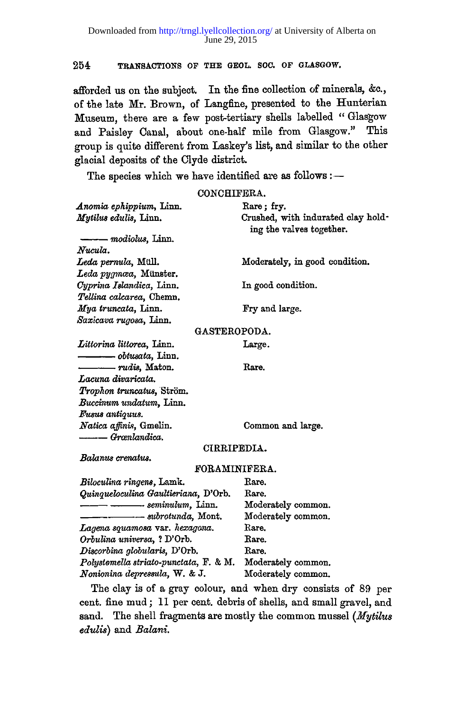afforded us on the subject. In the fine collection of minerals, &c., of the late Mr. Brown, of Langfine, presented to the Hunterian Museum, there are a few post-tertiary shells labelled " Glasgow and Paisley Canal, about one-half mile from Glasgow." This group is quite different from Laskey's list, and similar to the other glacial deposits of the Clyde district.

The species which we have identified are as follows :-

**CONCHIFERA.** 

| Anomia ephippium, Linn.<br>Mytilus edulis, Linn.      | Rare; fry.<br>Crushed, with indurated clay hold-<br>ing the valves together. |  |  |  |  |  |
|-------------------------------------------------------|------------------------------------------------------------------------------|--|--|--|--|--|
| ——— modiolus, Linn.                                   |                                                                              |  |  |  |  |  |
| Nucula.                                               |                                                                              |  |  |  |  |  |
| Leda pernula, Müll.                                   | Moderately, in good condition.                                               |  |  |  |  |  |
| Leda pygmæa, Münster.                                 |                                                                              |  |  |  |  |  |
| Cyprina Islandica, Linn.                              | In good condition.                                                           |  |  |  |  |  |
| Tellina calcarea, Chemn.                              |                                                                              |  |  |  |  |  |
| Mya truncata, Linn.                                   | Fry and large.                                                               |  |  |  |  |  |
| Saxicava rugosa, Linn.                                |                                                                              |  |  |  |  |  |
| <b>GASTEROPODA.</b>                                   |                                                                              |  |  |  |  |  |
| Littorina littorea, Linn.                             | Large.                                                                       |  |  |  |  |  |
|                                                       |                                                                              |  |  |  |  |  |
| $\longrightarrow$ rudis, Maton.                       | Rare.                                                                        |  |  |  |  |  |
| Lacuna divaricata.                                    |                                                                              |  |  |  |  |  |
| Trophon truncatus, Ström.                             |                                                                              |  |  |  |  |  |
| Buccinum undatum, Linn.                               |                                                                              |  |  |  |  |  |
| Fusus antiquus.                                       |                                                                              |  |  |  |  |  |
| Natica affinis, Gmelin.                               | Common and large.                                                            |  |  |  |  |  |
| -------- Grænlandica.                                 |                                                                              |  |  |  |  |  |
| CIRRIPEDIA.                                           |                                                                              |  |  |  |  |  |
| Balanus crenatus.                                     |                                                                              |  |  |  |  |  |
| <b>FORAMINIFERA.</b>                                  |                                                                              |  |  |  |  |  |
| Biloculina ringens, Lamk.                             | Rare.                                                                        |  |  |  |  |  |
| Quinqueloculina Gaultieriana, D'Orb.                  | Rare.                                                                        |  |  |  |  |  |
| —— ———— seminulum, Linn.                              | Moderately common.                                                           |  |  |  |  |  |
| $\longrightarrow$ $\longrightarrow$ subrotunda, Mont. | Moderately common.                                                           |  |  |  |  |  |
| Lagena squamosa var. hexagona.                        | Rare.                                                                        |  |  |  |  |  |
| Orbulina universa, ? D'Orb.                           | Rare.                                                                        |  |  |  |  |  |
| Discorbina globularis, D'Orb.                         | Rare.                                                                        |  |  |  |  |  |
| Polystomella striato-punctata, F. & M.                | Moderately common.                                                           |  |  |  |  |  |
| Nonionina depressula, W. & J.                         | Moderately common.                                                           |  |  |  |  |  |
|                                                       | The clay is of a gray colour, and when dry consists of 89 per                |  |  |  |  |  |

cent, fine mud ; 11 per cent, debris of shells, and small gravel, and sand. The shell fragments are mostly the common mussel *(Mytilus edulis)* and *Balani.*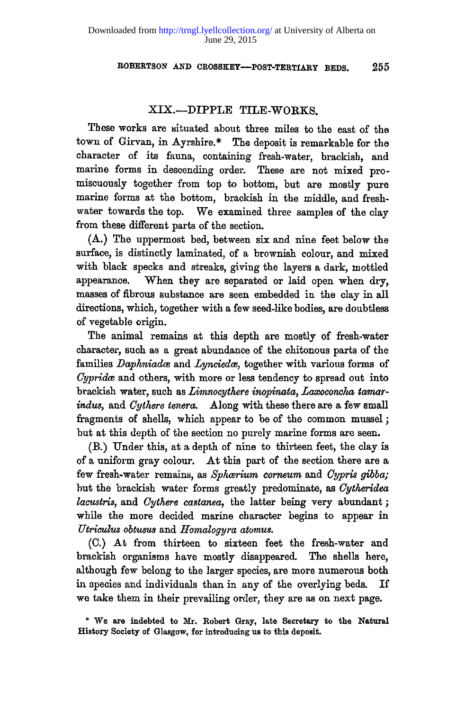# XIX.-DIPPLE TILE-WORKS.

These works are situated about three miles to the east of the town of Girvan, in Ayrshire.\* The deposit is remarkable for the character of its fauna, containing fresh-water, brackish, and marine forms in descending order. These are not mixed pro miscuously together from top to bottom, but are mostly pure marine forms at the bottom, brackish in the middle, and freshwater towards the top. We examined three samples of the clay from these different parts of the section.

 $(A.)$  The uppermost bed, between six and nine feet below the surface, is distinctly laminated, of a brownish colour, and mixed with black specks and streaks, giving the layers a dark, mottled appearance. When they are separated or laid open when dry, masses of fibrous substance are seen embedded in the clay in all directions, which, together with a few seed-like bodies, are doubtless of vegetable origin.

The animal remains at this depth are mostly of fresh-water character, such as a great abundance of the chitonous parts of the families *Daphniadce* and *Lynciedce,* together with various forms of *Cypridce* and others, with more or less tendency to spread out into brackish water, such as *Limnocythere inopinata*, *Laxoconcha tamarindus,* and *Cythere tenera.* Along with these there are a few small fragments of shells, which appear to be of the common mussel ; but at this depth of the section no purely marine forms are seen.

(B.) Under this, at a depth of nine to thirteen feet, the clay is of a uniform gray colour. At this part of the section there are a few fresh-water remains, as *Sphcerium corneum* and *Cypris gibba;*  but the brackish water forms greatly predominate, as *Cytheridea lacustris,* and *Cythere castanea*, the latter being very abundant; while the more decided marine character begins to appear in *Utriculus obtusus* and *Homologyra atomus.* 

(C.) At from thirteen to sixteen feet the fresh-water and brackish organisms have mostly disappeared. The shells here, although few belong to the larger species, are more numerous both in species and individuals than in any of the overlying beds. If we take them in their prevailing order, they are as on next page.

**<sup>\*</sup> We are indebted to Mr. Robert Gray, late Secretary to the Natural History Society of Glasgow, for introducing us to this deposit.**